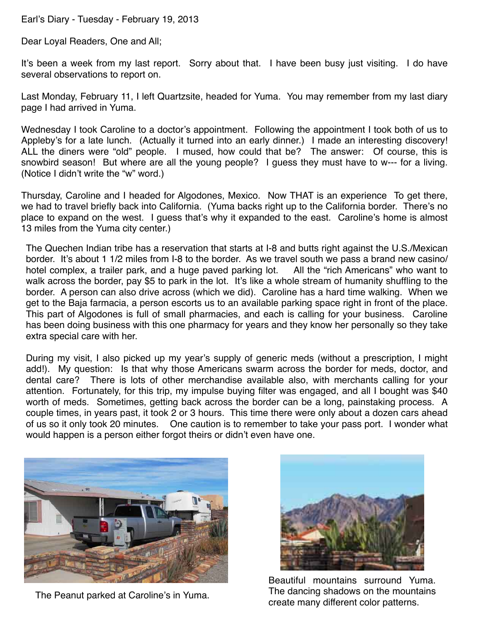## Earl's Diary - Tuesday - February 19, 2013

Dear Loyal Readers, One and All;

It's been a week from my last report. Sorry about that. I have been busy just visiting. I do have several observations to report on.

Last Monday, February 11, I left Quartzsite, headed for Yuma. You may remember from my last diary page I had arrived in Yuma.

Wednesday I took Caroline to a doctor's appointment. Following the appointment I took both of us to Appleby's for a late lunch. (Actually it turned into an early dinner.) I made an interesting discovery! ALL the diners were "old" people. I mused, how could that be? The answer: Of course, this is snowbird season! But where are all the young people? I guess they must have to w--- for a living. (Notice I didn't write the "w" word.)

Thursday, Caroline and I headed for Algodones, Mexico. Now THAT is an experience To get there, we had to travel briefly back into California. (Yuma backs right up to the California border. There's no place to expand on the west. I guess that's why it expanded to the east. Caroline's home is almost 13 miles from the Yuma city center.)

The Quechen Indian tribe has a reservation that starts at I-8 and butts right against the U.S./Mexican border. It's about 1 1/2 miles from I-8 to the border. As we travel south we pass a brand new casino/ hotel complex, a trailer park, and a huge paved parking lot. All the "rich Americans" who want to walk across the border, pay \$5 to park in the lot. It's like a whole stream of humanity shuffling to the border. A person can also drive across (which we did). Caroline has a hard time walking. When we get to the Baja farmacia, a person escorts us to an available parking space right in front of the place. This part of Algodones is full of small pharmacies, and each is calling for your business. Caroline has been doing business with this one pharmacy for years and they know her personally so they take extra special care with her.

During my visit, I also picked up my year's supply of generic meds (without a prescription, I might add!). My question: Is that why those Americans swarm across the border for meds, doctor, and dental care? There is lots of other merchandise available also, with merchants calling for your attention. Fortunately, for this trip, my impulse buying filter was engaged, and all I bought was \$40 worth of meds. Sometimes, getting back across the border can be a long, painstaking process. A couple times, in years past, it took 2 or 3 hours. This time there were only about a dozen cars ahead of us so it only took 20 minutes. One caution is to remember to take your pass port. I wonder what would happen is a person either forgot theirs or didn't even have one.



The Peanut parked at Caroline's in Yuma.



Beautiful mountains surround Yuma. The dancing shadows on the mountains create many different color patterns.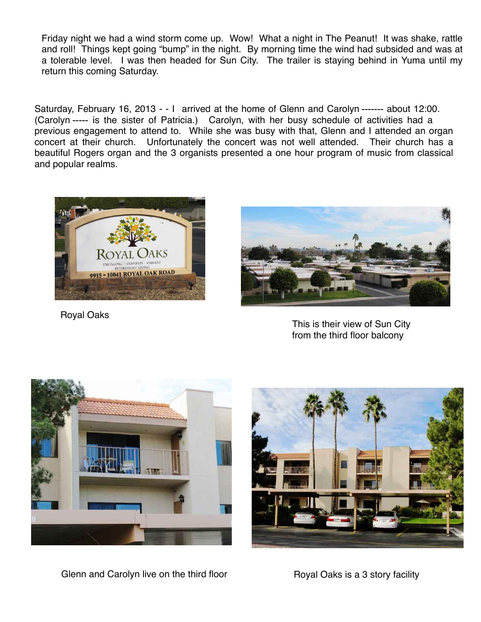Friday night we had a wind storm come up. Wow! What a night in The Peanut! It was shake, rattle and roll! Things kept going "bump" in the night. By morning time the wind had subsided and was at a tolerable level. I was then headed for Sun City. The trailer is staying behind in Yuma until my return this coming Saturday.

Saturday, February 16, 2013 - - I arrived at the home of Glenn and Carolyn ------- about 12:00. (Carolyn ----- is the sister of Patricia.) Carolyn, with her busy schedule of activities had a previous engagement to attend to. While she was busy with that, Glenn and I attended an organ concert at their church. Unfortunately the concert was not well attended. Their church has a beautiful Rogers organ and the 3 organists presented a one hour program of music from classical and popular realms.



Royal Oaks



This is their view of Sun City from the third floor balcony



Glenn and Carolyn live on the third floor **Royal Oaks is a 3 story facility**